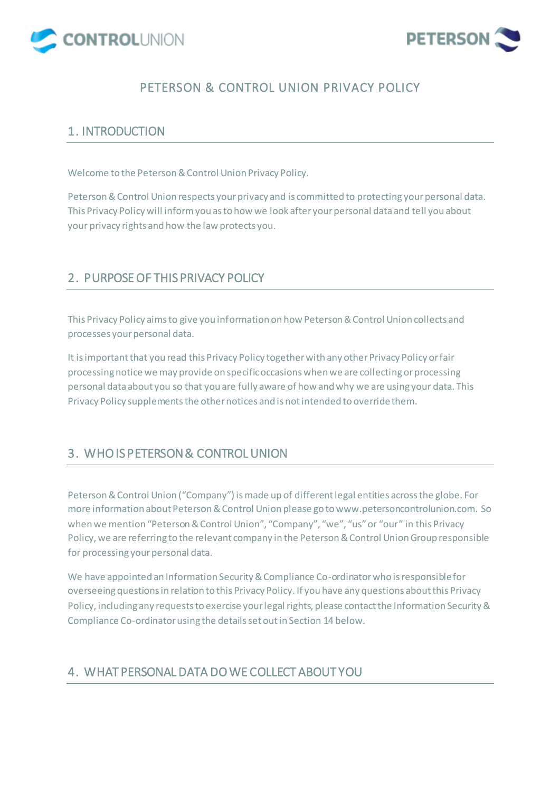



# PETERSON & CONTROL UNION PRIVACY POLICY

## 1. INTRODUCTION

Welcome to the Peterson & Control Union Privacy Policy.

Peterson & Control Union respects your privacy and is committed to protecting your personal data. This Privacy Policy will inform you as to how we look after your personal data and tell you about your privacy rights and how the law protects you.

# 2. PURPOSE OF THIS PRIVACY POLICY

This Privacy Policy aims to give you information on how Peterson & Control Union collects and processes your personal data.

It is important that you read this Privacy Policy together with any other Privacy Policy or fair processing notice we may provide on specific occasions when we are collecting or processing personal data about you so that you are fully aware of how and why we are using your data. This Privacy Policy supplements the other notices and is not intended to override them.

## 3. WHO IS PETERSON & CONTROL UNION

Peterson &Control Union ("Company") is made up of different legal entities across the globe. For more information about Peterson & Control Union please go to www.petersoncontrolunion.com. So when we mention "Peterson & Control Union", "Company", "we", "us" or "our" in this Privacy Policy, we are referring to the relevant company in the Peterson & Control Union Group responsible for processing your personal data.

We have appointed an Information Security & Compliance Co-ordinator who is responsible for overseeing questions in relation to this Privacy Policy. If you have any questions about this Privacy Policy, including any requests to exercise your legal rights, please contact the Information Security & Compliance Co-ordinator using the details set out in Section 14 below.

# 4. WHAT PERSONAL DATA DO WE COLLECT ABOUT YOU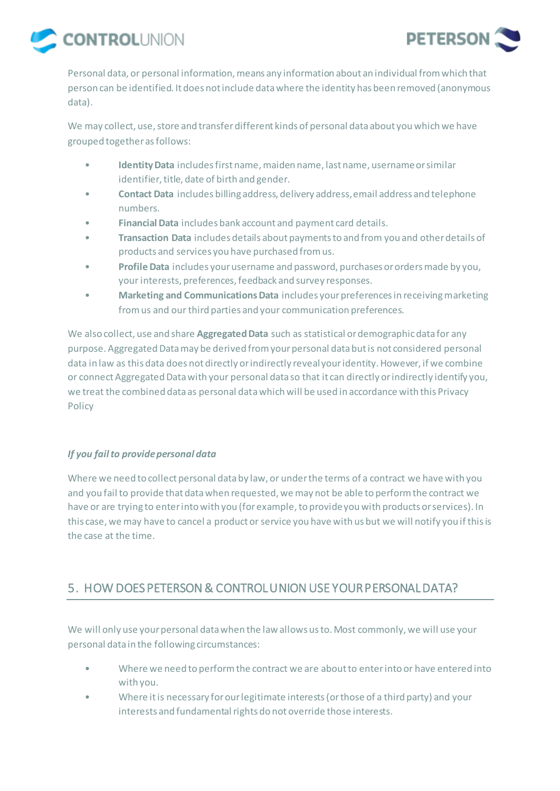



Personal data, or personal information, means any information about an individual from which that person can be identified. It does not include data where the identity has been removed (anonymous data).

We may collect, use, store and transfer different kinds of personal data about you which we have grouped together as follows:

- **Identity Data** includes first name, maiden name, last name, username or similar identifier, title, date of birth and gender.
- **Contact Data** includes billing address, delivery address, email address and telephone numbers.
- **Financial Data** includes bank account and payment card details.
- **Transaction Data** includes details about payments to and from you and other details of products and services you have purchased from us.
- **Profile Data** includes your username and password, purchases or orders made by you, your interests, preferences, feedback and survey responses.
- **Marketing and Communications Data** includes your preferences in receiving marketing from us and our third parties and your communication preferences.

We also collect, use and share **Aggregated Data** such as statistical or demographic data for any purpose. Aggregated Data may be derived from your personal data but is not considered personal data in law as this data does not directly or indirectly reveal your identity. However, if we combine or connect Aggregated Data with your personal data so that it can directly or indirectly identify you, we treat the combined data as personal data which will be used in accordance with this Privacy Policy

### *If you fail to provide personal data*

Where we need to collect personal data by law, or under the terms of a contract we have with you and you fail to provide that data when requested, we may not be able to perform the contract we have or are trying to enter into with you (for example, to provide you with products or services). In this case, we may have to cancel a product or service you have with us but we will notify you if this is the case at the time.

# 5. HOW DOES PETERSON & CONTROL UNION USE YOUR PERSONAL DATA?

We will only use your personal data when the law allows us to. Most commonly, we will use your personal data in the following circumstances:

- Where we need to perform the contract we are about to enter into or have entered into with you.
- Where it is necessary for our legitimate interests (or those of a third party) and your interests and fundamental rights do not override those interests.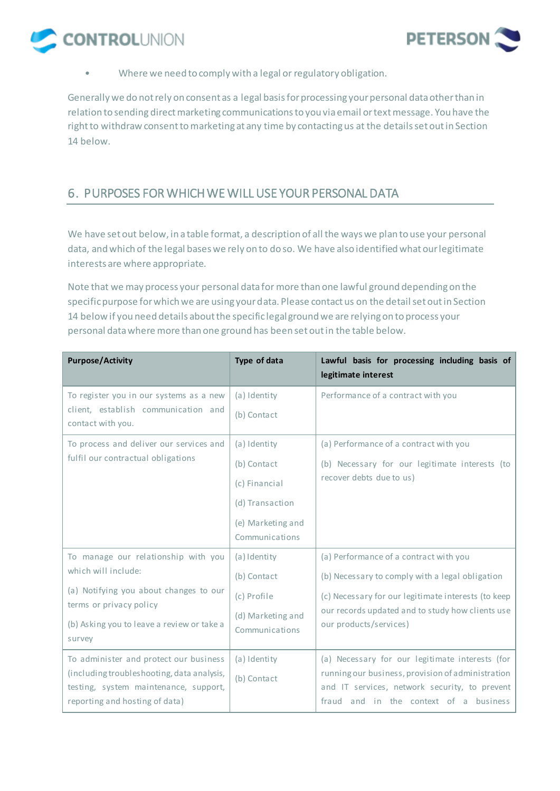**CONTROLUNION** 



• Where we need to comply with a legal or regulatory obligation.

Generally we do not rely on consent as a legal basis for processing your personal data other than in relation to sending direct marketing communications to you via email or text message. You have the right to withdraw consent to marketing at any time by contacting us at the details set out in Section 14 below.

## 6. PURPOSES FOR WHICH WE WILL USE YOUR PERSONAL DATA

We have set out below, in a table format, a description of all the ways we plan to use your personal data, and which of the legal bases we rely on to do so. We have also identified what our legitimate interests are where appropriate.

Note that we may process your personal data for more than one lawful ground depending on the specific purpose for which we are using your data. Please contact us on the detail set out in Section 14 below if you need details about the specific legal ground we are relying on to process your personal data where more than one ground has been set out in the table below.

| <b>Purpose/Activity</b>                                                                                                                                                                 | Type of data      | Lawful basis for processing including basis of<br>legitimate interest                   |
|-----------------------------------------------------------------------------------------------------------------------------------------------------------------------------------------|-------------------|-----------------------------------------------------------------------------------------|
| To register you in our systems as a new<br>client, establish communication and<br>contact with you.                                                                                     | (a) Identity      | Performance of a contract with you                                                      |
|                                                                                                                                                                                         | (b) Contact       |                                                                                         |
| To process and deliver our services and<br>fulfil our contractual obligations                                                                                                           | (a) Identity      | (a) Performance of a contract with you                                                  |
|                                                                                                                                                                                         | (b) Contact       | (b) Necessary for our legitimate interests (to<br>recover debts due to us)              |
|                                                                                                                                                                                         | (c) Financial     |                                                                                         |
|                                                                                                                                                                                         | (d) Transaction   |                                                                                         |
|                                                                                                                                                                                         | (e) Marketing and |                                                                                         |
|                                                                                                                                                                                         | Communications    |                                                                                         |
| To manage our relationship with you<br>which will include:<br>(a) Notifying you about changes to our<br>terms or privacy policy<br>(b) Asking you to leave a review or take a<br>survey | (a) Identity      | (a) Performance of a contract with you                                                  |
|                                                                                                                                                                                         | (b) Contact       | (b) Necessary to comply with a legal obligation                                         |
|                                                                                                                                                                                         | (c) Profile       | (c) Necessary for our legitimate interests (to keep                                     |
|                                                                                                                                                                                         | (d) Marketing and | our records updated and to study how clients use<br>our products/services)              |
|                                                                                                                                                                                         | Communications    |                                                                                         |
| To administer and protect our business                                                                                                                                                  | (a) Identity      | (a) Necessary for our legitimate interests (for                                         |
| (including troubles hooting, data analysis,<br>testing, system maintenance, support,<br>reporting and hosting of data)                                                                  | (b) Contact       | running our business, provision of administration                                       |
|                                                                                                                                                                                         |                   | and IT services, network security, to prevent<br>fraud and in the context of a business |
|                                                                                                                                                                                         |                   |                                                                                         |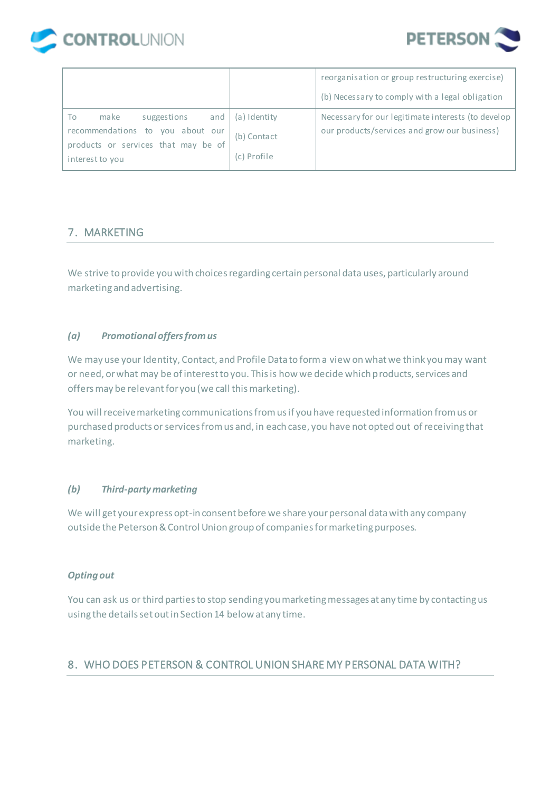



| reorganisation or group restructuring exercise)    |
|----------------------------------------------------|
| (b) Necessary to comply with a legal obligation    |
| Necessary for our legitimate interests (to develop |
| our products/services and grow our business)       |
|                                                    |
|                                                    |
|                                                    |

## 7. MARKETING

We strive to provide you with choices regarding certain personal data uses, particularly around marketing and advertising.

### *(a) Promotional offers from us*

We may use your Identity, Contact, and Profile Data to form a view on what we think you may want or need, or what may be of interest to you. This is how we decide which products, services and offers may be relevant for you (we call this marketing).

You will receive marketing communications from us if you have requested information from us or purchased products or services from us and, in each case, you have not opted out of receiving that marketing.

#### *(b) Third-party marketing*

We will get your express opt-in consent before we share your personal data with any company outside the Peterson & Control Union group of companies for marketing purposes.

#### *Opting out*

You can ask us or third parties to stop sending you marketing messages at any time by contacting us using the details set out in Section 14 below at any time.

### 8. WHO DOES PETERSON & CONTROL UNION SHARE MY PERSONAL DATA WITH?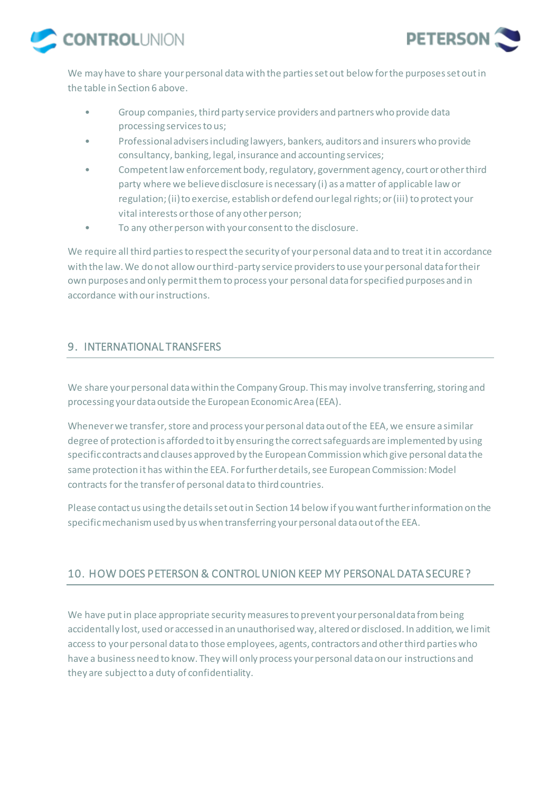



We may have to share your personal data with the parties set out below for the purposes set out in the table in Section 6 above.

- Group companies, third party service providers and partners who provide data processing services to us;
- Professional advisers including lawyers, bankers, auditors and insurers who provide consultancy, banking, legal, insurance and accounting services;
- Competent law enforcement body, regulatory, government agency, court or other third party where we believe disclosure is necessary (i) as a matter of applicable law or regulation; (ii) to exercise, establish or defend our legal rights; or (iii) to protect your vital interests or those of any other person;
- To any other person with your consent to the disclosure.

We require all third parties to respect the security of your personal data and to treat it in accordance with the law. We do not allow our third-party service providers to use your personal data for their own purposes and only permit them to process your personal data for specified purposes and in accordance with ourinstructions.

## 9. INTERNATIONAL TRANSFERS

We share your personal data within the Company Group. This may involve transferring, storing and processing your data outside the European Economic Area (EEA).

Whenever we transfer, store and process your personal data out of the EEA, we ensure a similar degree of protection is afforded to it by ensuring the correct safeguards are implemented by using specific contracts and clauses approved by the European Commission which give personal data the same protection it has within the EEA. For further details, see European Commission: Model contracts for the transfer of personal data to third countries.

Please contact us using the details set out in Section 14 below if you want further information on the specific mechanism used by us when transferring your personal data out of the EEA.

## 10. HOW DOES PETERSON & CONTROL UNION KEEP MY PERSONAL DATA SECURE?

We have put in place appropriate security measures to prevent your personal data from being accidentally lost, used or accessed in an unauthorised way, altered or disclosed. In addition, we limit access to your personal data to those employees, agents, contractors and other third parties who have a business need to know. They will only process your personal data on our instructions and they are subject to a duty of confidentiality.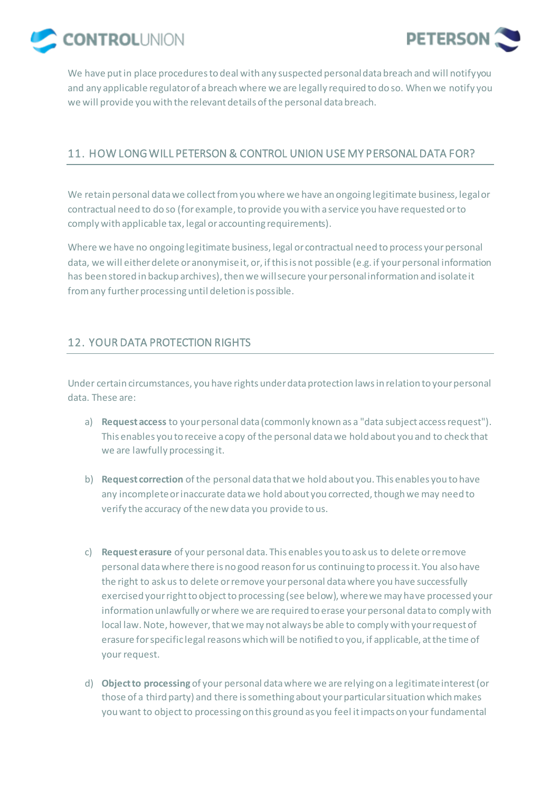



We have put in place procedures to deal with any suspected personal data breach and will notify you and any applicable regulator of a breach where we are legally required to do so. When we notify you we will provide you with the relevant details of the personal data breach.

### 11. HOW LONG WILL PETERSON & CONTROL UNION USE MY PERSONAL DATA FOR?

We retain personal data we collect from you where we have an ongoing legitimate business, legal or contractual need to do so (for example, to provide you with a service you have requested or to comply with applicable tax, legal or accounting requirements).

Where we have no ongoing legitimate business, legal or contractual need to process your personal data, we will either delete or anonymise it, or, if this is not possible (e.g. if your personal information has been stored in backup archives), then we will secure your personal information and isolate it from any further processing until deletion is possible.

## 12. YOUR DATA PROTECTION RIGHTS

Under certain circumstances, you have rights under data protection laws in relation to your personal data. These are:

- a) **Request access** to your personal data (commonly known as a "data subject access request"). This enables you to receive a copy of the personal data we hold about you and to check that we are lawfully processing it.
- b) **Request correction** of the personal data that we hold about you. This enables you to have any incomplete or inaccurate data we hold about you corrected, though we may need to verify the accuracy of the new data you provide to us.
- c) **Request erasure** of your personal data. This enables you to ask us to delete or remove personal data where there is no good reason for us continuing to process it. You also have the right to ask us to delete or remove your personal data where you have successfully exercised your right to object to processing (see below), where we may have processed your information unlawfully or where we are required to erase your personal data to comply with local law. Note, however, that we may not always be able to comply with your request of erasure for specific legal reasons which will be notified to you, if applicable, at the time of your request.
- d) **Object to processing** of your personal data where we are relying on a legitimate interest (or those of a third party) and there is something about your particular situation which makes you want to object to processing on this ground as you feel it impacts on your fundamental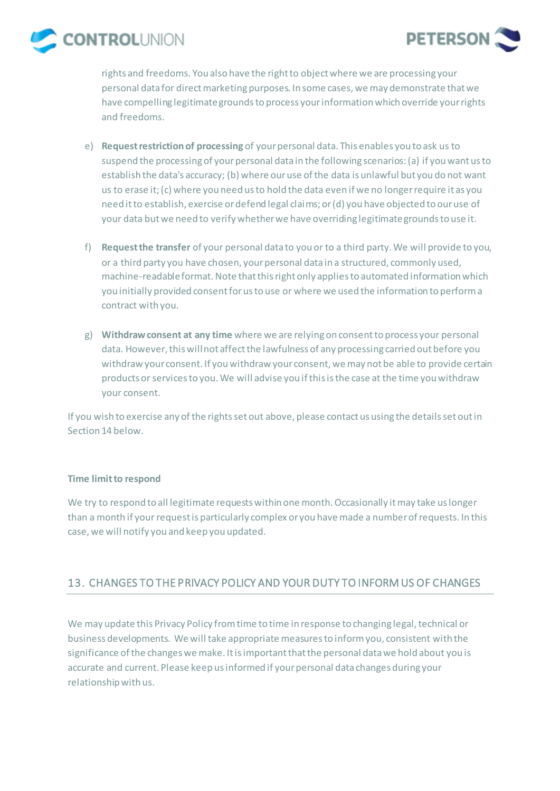CONTROLUNION



rights and freedoms. You also have the right to object where we are processing your personal data for direct marketing purposes. In some cases, we may demonstrate that we have compelling legitimate grounds to process your information which override your rights and freedoms.

- e) **Request restriction of processing** of your personal data. This enables you to ask us to suspend the processing of your personal data in the following scenarios: (a) if you want us to establish the data's accuracy; (b) where our use of the data is unlawful but you do not want us to erase it; (c) where you need us to hold the data even if we no longer require it as you need it to establish, exercise or defend legal claims; or (d) you have objected to our use of your data but we need to verify whether we have overriding legitimate grounds to use it.
- f) **Request the transfer** of your personal data to you or to a third party. We will provide to you, or a third party you have chosen, your personal data in a structured, commonly used, machine-readable format. Note that this right only applies to automated information which you initially provided consent for us to use or where we used the information to perform a contract with you.
- g) **Withdraw consent at any time** where we are relying on consent to process your personal data. However, this will not affect the lawfulness of any processing carried out before you withdraw your consent. If you withdraw your consent, we may not be able to provide certain products or services to you. We will advise you if this is the case at the time you withdraw your consent.

If you wish to exercise any of the rights set out above, please contact us using the details set out in Section 14 below.

#### **Time limit to respond**

We try to respond to all legitimate requests within one month. Occasionally it may take us longer than a month if your request is particularly complex or you have made a number of requests. In this case, we will notify you and keep you updated.

## 13. CHANGES TO THE PRIVACY POLICY AND YOUR DUTY TO INFORM US OF CHANGES

We may update this Privacy Policy from time to time in response to changing legal, technical or business developments. We will take appropriate measures to inform you, consistent with the significance of the changes we make. It is important that the personal data we hold about you is accurate and current. Please keep us informed if your personal data changes during your relationship with us.